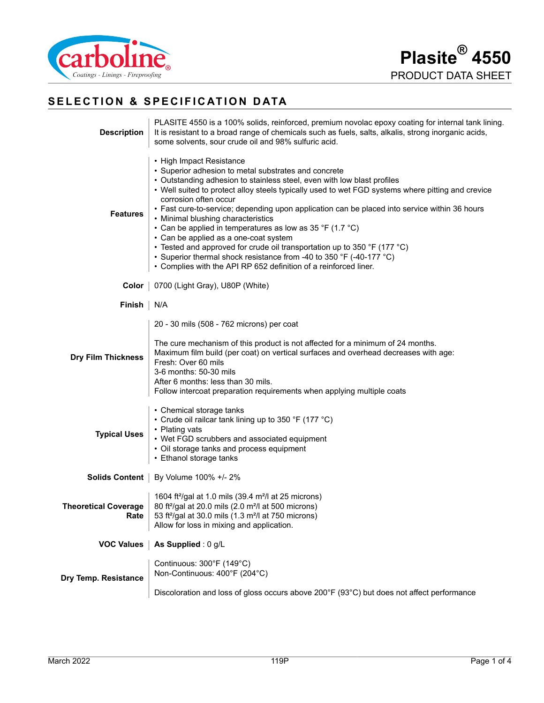

# **SELECTION & SPECIFICATION DATA**

| <b>Description</b>                  | PLASITE 4550 is a 100% solids, reinforced, premium novolac epoxy coating for internal tank lining.<br>It is resistant to a broad range of chemicals such as fuels, salts, alkalis, strong inorganic acids,<br>some solvents, sour crude oil and 98% sulfuric acid.                                                                                                                                                                                                                                                                                                                                                                                                                                                                                            |
|-------------------------------------|---------------------------------------------------------------------------------------------------------------------------------------------------------------------------------------------------------------------------------------------------------------------------------------------------------------------------------------------------------------------------------------------------------------------------------------------------------------------------------------------------------------------------------------------------------------------------------------------------------------------------------------------------------------------------------------------------------------------------------------------------------------|
| <b>Features</b>                     | • High Impact Resistance<br>• Superior adhesion to metal substrates and concrete<br>• Outstanding adhesion to stainless steel, even with low blast profiles<br>• Well suited to protect alloy steels typically used to wet FGD systems where pitting and crevice<br>corrosion often occur<br>• Fast cure-to-service; depending upon application can be placed into service within 36 hours<br>• Minimal blushing characteristics<br>• Can be applied in temperatures as low as 35 °F (1.7 °C)<br>• Can be applied as a one-coat system<br>• Tested and approved for crude oil transportation up to 350 °F (177 °C)<br>• Superior thermal shock resistance from -40 to 350 °F (-40-177 °C)<br>• Complies with the API RP 652 definition of a reinforced liner. |
|                                     | Color   0700 (Light Gray), U80P (White)                                                                                                                                                                                                                                                                                                                                                                                                                                                                                                                                                                                                                                                                                                                       |
| Finish                              | N/A                                                                                                                                                                                                                                                                                                                                                                                                                                                                                                                                                                                                                                                                                                                                                           |
| <b>Dry Film Thickness</b>           | 20 - 30 mils (508 - 762 microns) per coat<br>The cure mechanism of this product is not affected for a minimum of 24 months.<br>Maximum film build (per coat) on vertical surfaces and overhead decreases with age:<br>Fresh: Over 60 mils<br>3-6 months: 50-30 mils<br>After 6 months: less than 30 mils.<br>Follow intercoat preparation requirements when applying multiple coats                                                                                                                                                                                                                                                                                                                                                                           |
| <b>Typical Uses</b>                 | • Chemical storage tanks<br>• Crude oil railcar tank lining up to 350 °F (177 °C)<br>• Plating vats<br>• Wet FGD scrubbers and associated equipment<br>• Oil storage tanks and process equipment<br>• Ethanol storage tanks                                                                                                                                                                                                                                                                                                                                                                                                                                                                                                                                   |
|                                     | Solids Content   By Volume 100% +/- 2%                                                                                                                                                                                                                                                                                                                                                                                                                                                                                                                                                                                                                                                                                                                        |
| <b>Theoretical Coverage</b><br>Rate | 1604 ft <sup>2</sup> /gal at 1.0 mils (39.4 m <sup>2</sup> /l at 25 microns)<br>80 ft <sup>2</sup> /gal at 20.0 mils (2.0 m <sup>2</sup> /l at 500 microns)<br>53 ft <sup>2</sup> /gal at 30.0 mils (1.3 m <sup>2</sup> /l at 750 microns)<br>Allow for loss in mixing and application.                                                                                                                                                                                                                                                                                                                                                                                                                                                                       |
| <b>VOC Values</b>                   | As Supplied : 0 g/L                                                                                                                                                                                                                                                                                                                                                                                                                                                                                                                                                                                                                                                                                                                                           |
| Dry Temp. Resistance                | Continuous: 300°F (149°C)<br>Non-Continuous: 400°F (204°C)                                                                                                                                                                                                                                                                                                                                                                                                                                                                                                                                                                                                                                                                                                    |
|                                     | Discoloration and loss of gloss occurs above 200°F (93°C) but does not affect performance                                                                                                                                                                                                                                                                                                                                                                                                                                                                                                                                                                                                                                                                     |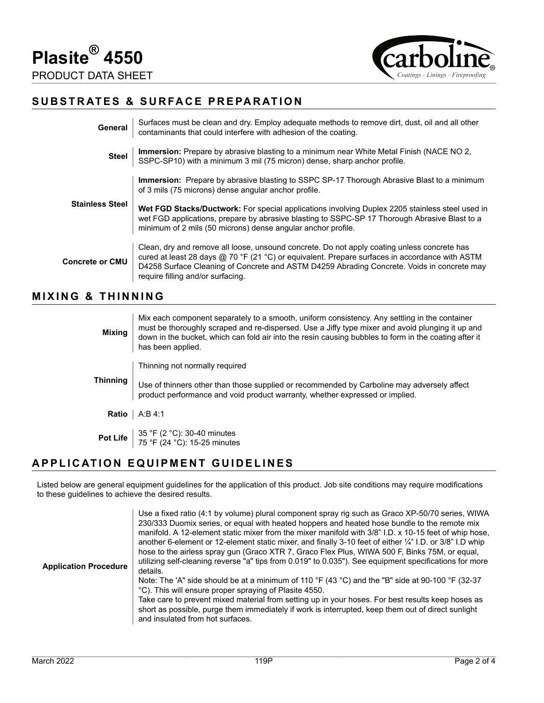



## **SUBSTRATES & SURFACE PREPARATION**

| General                | Surfaces must be clean and dry. Employ adequate methods to remove dirt, dust, oil and all other contaminants that could interfere with adhesion of the coating.                                                                                                                                                                  |
|------------------------|----------------------------------------------------------------------------------------------------------------------------------------------------------------------------------------------------------------------------------------------------------------------------------------------------------------------------------|
| <b>Steel</b>           | <b>Immersion:</b> Prepare by abrasive blasting to a minimum near White Metal Finish (NACE NO 2, SSPC-SP10) with a minimum 3 mil (75 micron) dense, sharp anchor profile.                                                                                                                                                         |
| <b>Stainless Steel</b> | <b>Immersion:</b> Prepare by abrasive blasting to SSPC SP-17 Thorough Abrasive Blast to a minimum<br>of 3 mils (75 microns) dense angular anchor profile.                                                                                                                                                                        |
|                        | Wet FGD Stacks/Ductwork: For special applications involving Duplex 2205 stainless steel used in<br>wet FGD applications, prepare by abrasive blasting to SSPC-SP 17 Thorough Abrasive Blast to a<br>minimum of 2 mils (50 microns) dense angular anchor profile.                                                                 |
| <b>Concrete or CMU</b> | Clean, dry and remove all loose, unsound concrete. Do not apply coating unless concrete has<br>cured at least 28 days @ 70 °F (21 °C) or equivalent. Prepare surfaces in accordance with ASTM<br>D4258 Surface Cleaning of Concrete and ASTM D4259 Abrading Concrete. Voids in concrete may<br>require filling and/or surfacing. |

#### **MIXING & THINNING**

| <b>Mixing</b> | Mix each component separately to a smooth, uniform consistency. Any settling in the container<br>must be thoroughly scraped and re-dispersed. Use a Jiffy type mixer and avoid plunging it up and<br>down in the bucket, which can fold air into the resin causing bubbles to form in the coating after it<br>has been applied. |
|---------------|---------------------------------------------------------------------------------------------------------------------------------------------------------------------------------------------------------------------------------------------------------------------------------------------------------------------------------|
| Thinning      | Thinning not normally required                                                                                                                                                                                                                                                                                                  |
|               | Use of thinners other than those supplied or recommended by Carboline may adversely affect<br>product performance and void product warranty, whether expressed or implied.                                                                                                                                                      |
|               | <b>Ratio</b> $\vert$ A:B 4:1                                                                                                                                                                                                                                                                                                    |
|               | <b>Pot Life</b> $35 °F (2 °C)$ : 30-40 minutes<br>75 °F (24 °C): 15-25 minutes                                                                                                                                                                                                                                                  |

### **APPLICATION EQUIPMENT GUIDELINES**

Listed below are general equipment guidelines for the application of this product. Job site conditions may require modifications to these guidelines to achieve the desired results.

| <b>Application Procedure</b> | Use a fixed ratio (4:1 by volume) plural component spray rig such as Graco XP-50/70 series, WIWA<br>230/333 Duomix series, or equal with heated hoppers and heated hose bundle to the remote mix<br>manifold. A 12-element static mixer from the mixer manifold with 3/8" I.D. x 10-15 feet of whip hose,<br>another 6-element or 12-element static mixer, and finally 3-10 feet of either $\frac{1}{4}$ " I.D. or 3/8" I.D whip<br>hose to the airless spray gun (Graco XTR 7, Graco Flex Plus, WIWA 500 F, Binks 75M, or equal,<br>utilizing self-cleaning reverse "a" tips from 0.019" to 0.035"). See equipment specifications for more<br>details.<br>Note: The 'A" side should be at a minimum of 110 °F (43 °C) and the "B" side at 90-100 °F (32-37<br>°C). This will ensure proper spraying of Plasite 4550.<br>Take care to prevent mixed material from setting up in your hoses. For best results keep hoses as<br>short as possible, purge them immediately if work is interrupted, keep them out of direct sunlight |
|------------------------------|----------------------------------------------------------------------------------------------------------------------------------------------------------------------------------------------------------------------------------------------------------------------------------------------------------------------------------------------------------------------------------------------------------------------------------------------------------------------------------------------------------------------------------------------------------------------------------------------------------------------------------------------------------------------------------------------------------------------------------------------------------------------------------------------------------------------------------------------------------------------------------------------------------------------------------------------------------------------------------------------------------------------------------|
|                              | and insulated from hot surfaces.                                                                                                                                                                                                                                                                                                                                                                                                                                                                                                                                                                                                                                                                                                                                                                                                                                                                                                                                                                                                 |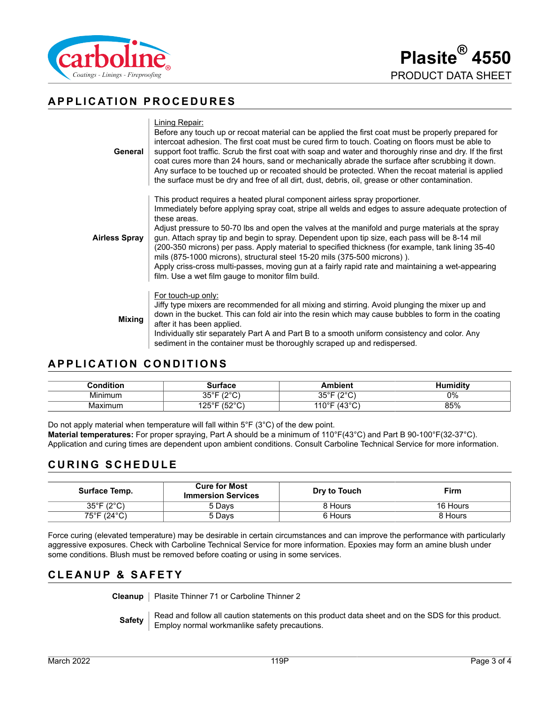

## **APPLICATION PROCEDURES**

| General              | Lining Repair:<br>Before any touch up or recoat material can be applied the first coat must be properly prepared for<br>intercoat adhesion. The first coat must be cured firm to touch. Coating on floors must be able to<br>support foot traffic. Scrub the first coat with soap and water and thoroughly rinse and dry. If the first<br>coat cures more than 24 hours, sand or mechanically abrade the surface after scrubbing it down.<br>Any surface to be touched up or recoated should be protected. When the recoat material is applied<br>the surface must be dry and free of all dirt, dust, debris, oil, grease or other contamination.                                                                                                   |
|----------------------|-----------------------------------------------------------------------------------------------------------------------------------------------------------------------------------------------------------------------------------------------------------------------------------------------------------------------------------------------------------------------------------------------------------------------------------------------------------------------------------------------------------------------------------------------------------------------------------------------------------------------------------------------------------------------------------------------------------------------------------------------------|
| <b>Airless Spray</b> | This product requires a heated plural component airless spray proportioner.<br>Immediately before applying spray coat, stripe all welds and edges to assure adequate protection of<br>these areas.<br>Adjust pressure to 50-70 lbs and open the valves at the manifold and purge materials at the spray<br>gun. Attach spray tip and begin to spray. Dependent upon tip size, each pass will be 8-14 mil<br>(200-350 microns) per pass. Apply material to specified thickness (for example, tank lining 35-40<br>mils (875-1000 microns), structural steel 15-20 mils (375-500 microns)).<br>Apply criss-cross multi-passes, moving gun at a fairly rapid rate and maintaining a wet-appearing<br>film. Use a wet film gauge to monitor film build. |
| <b>Mixing</b>        | For touch-up only:<br>Jiffy type mixers are recommended for all mixing and stirring. Avoid plunging the mixer up and<br>down in the bucket. This can fold air into the resin which may cause bubbles to form in the coating<br>after it has been applied.<br>Individually stir separately Part A and Part B to a smooth uniform consistency and color. Any<br>sediment in the container must be thoroughly scraped up and redispersed.                                                                                                                                                                                                                                                                                                              |

## **APPLICATION CONDITIONS**

| Condition    | rtace                              | mbient                                   | `'''miditv |
|--------------|------------------------------------|------------------------------------------|------------|
| .<br>Minimum | 1000<br>∩г∘г                       | 1000<br>ว⊏∘⊏<br>ບບ                       | 0%         |
| Maximum      | (0.00)<br>105°E<br>ا ب∡ا<br>◡<br>ັ | (1200)<br>$140^\circ$<br>.<br>ັ<br>. . U | 85%        |

Do not apply material when temperature will fall within 5°F (3°C) of the dew point. **Material temperatures:** For proper spraying, Part A should be a minimum of 110°F(43°C) and Part B 90-100°F(32-37°C). Application and curing times are dependent upon ambient conditions. Consult Carboline Technical Service for more information.

# **CURING SCHEDULE**

| Surface Temp.                   | <b>Cure for Most</b><br><b>Immersion Services</b> | Dry to Touch | <b>Firm</b> |
|---------------------------------|---------------------------------------------------|--------------|-------------|
| $35^{\circ}$ F (2 $^{\circ}$ C) | 5 Davs                                            | 8 Hours      | 16 Hours    |
| 75°F (24°C)                     | 5 Davs                                            | 6 Hours      | 8 Hours     |

Force curing (elevated temperature) may be desirable in certain circumstances and can improve the performance with particularly aggressive exposures. Check with Carboline Technical Service for more information. Epoxies may form an amine blush under some conditions. Blush must be removed before coating or using in some services.

## **CLEANUP & SAFETY**

**Cleanup** | Plasite Thinner 71 or Carboline Thinner 2

**Safety** Read and follow all caution statements on this product data sheet and on the SDS for this product. Employ normal workmanlike safety precautions.